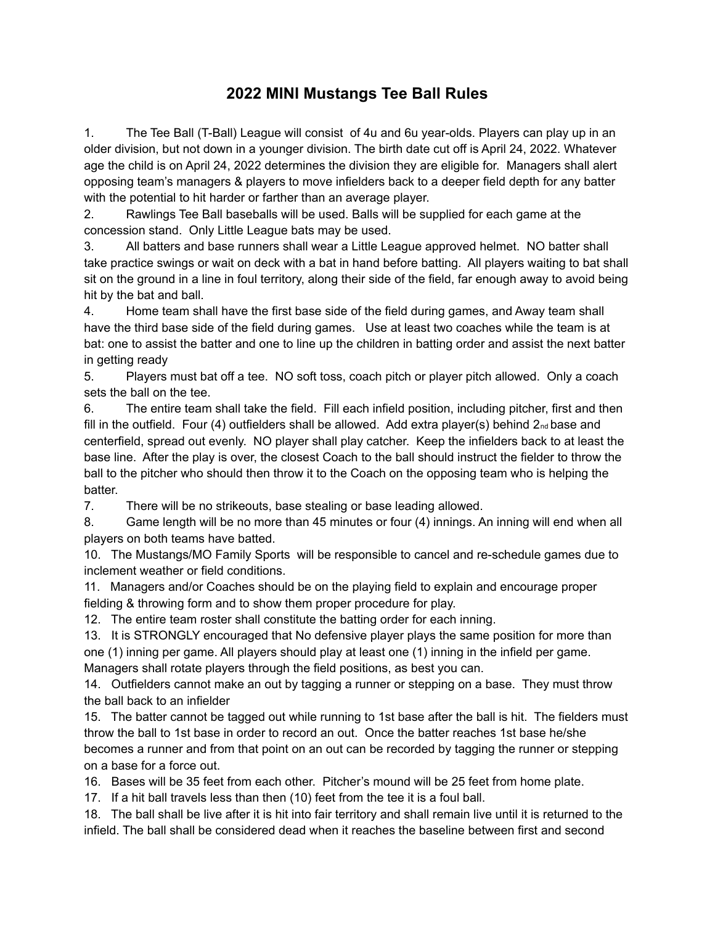## **2022 MINI Mustangs Tee Ball Rules**

1. The Tee Ball (T-Ball) League will consist of 4u and 6u year-olds. Players can play up in an older division, but not down in a younger division. The birth date cut off is April 24, 2022. Whatever age the child is on April 24, 2022 determines the division they are eligible for. Managers shall alert opposing team's managers & players to move infielders back to a deeper field depth for any batter with the potential to hit harder or farther than an average player.

2. Rawlings Tee Ball baseballs will be used. Balls will be supplied for each game at the concession stand. Only Little League bats may be used.

3. All batters and base runners shall wear a Little League approved helmet. NO batter shall take practice swings or wait on deck with a bat in hand before batting. All players waiting to bat shall sit on the ground in a line in foul territory, along their side of the field, far enough away to avoid being hit by the bat and ball.

4. Home team shall have the first base side of the field during games, and Away team shall have the third base side of the field during games. Use at least two coaches while the team is at bat: one to assist the batter and one to line up the children in batting order and assist the next batter in getting ready

5. Players must bat off a tee. NO soft toss, coach pitch or player pitch allowed. Only a coach sets the ball on the tee.

6. The entire team shall take the field. Fill each infield position, including pitcher, first and then fill in the outfield. Four (4) outfielders shall be allowed. Add extra player(s) behind  $2_{nd}$  base and centerfield, spread out evenly. NO player shall play catcher. Keep the infielders back to at least the base line. After the play is over, the closest Coach to the ball should instruct the fielder to throw the ball to the pitcher who should then throw it to the Coach on the opposing team who is helping the batter.

7. There will be no strikeouts, base stealing or base leading allowed.

8. Game length will be no more than 45 minutes or four (4) innings. An inning will end when all players on both teams have batted.

10. The Mustangs/MO Family Sports will be responsible to cancel and re-schedule games due to inclement weather or field conditions.

11. Managers and/or Coaches should be on the playing field to explain and encourage proper fielding & throwing form and to show them proper procedure for play.

12. The entire team roster shall constitute the batting order for each inning.

13. It is STRONGLY encouraged that No defensive player plays the same position for more than one (1) inning per game. All players should play at least one (1) inning in the infield per game. Managers shall rotate players through the field positions, as best you can.

14. Outfielders cannot make an out by tagging a runner or stepping on a base. They must throw the ball back to an infielder

15. The batter cannot be tagged out while running to 1st base after the ball is hit. The fielders must throw the ball to 1st base in order to record an out. Once the batter reaches 1st base he/she becomes a runner and from that point on an out can be recorded by tagging the runner or stepping on a base for a force out.

16. Bases will be 35 feet from each other. Pitcher's mound will be 25 feet from home plate.

17. If a hit ball travels less than then (10) feet from the tee it is a foul ball.

18. The ball shall be live after it is hit into fair territory and shall remain live until it is returned to the infield. The ball shall be considered dead when it reaches the baseline between first and second